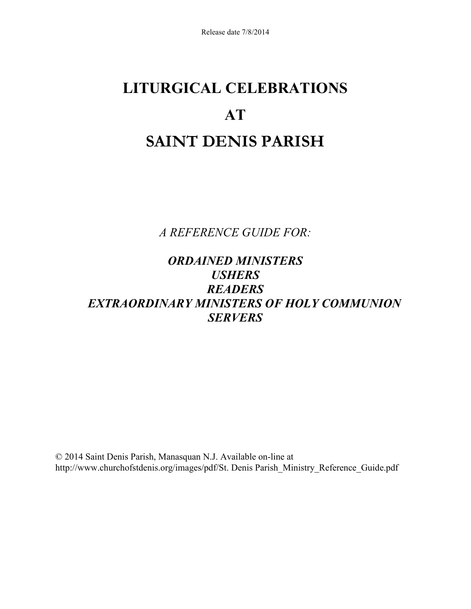# **LITURGICAL CELEBRATIONS AT SAINT DENIS PARISH**

*A REFERENCE GUIDE FOR:* 

# *ORDAINED MINISTERS USHERS READERS EXTRAORDINARY MINISTERS OF HOLY COMMUNION SERVERS*

© 2014 Saint Denis Parish, Manasquan N.J. Available on-line at http://www.churchofstdenis.org/images/pdf/St. Denis Parish\_Ministry\_Reference\_Guide.pdf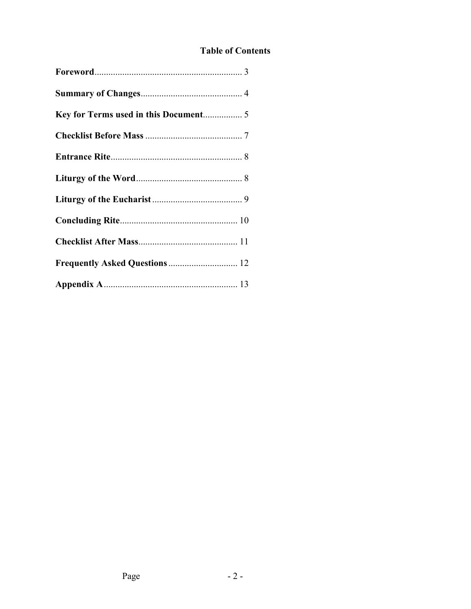# **Table of Contents**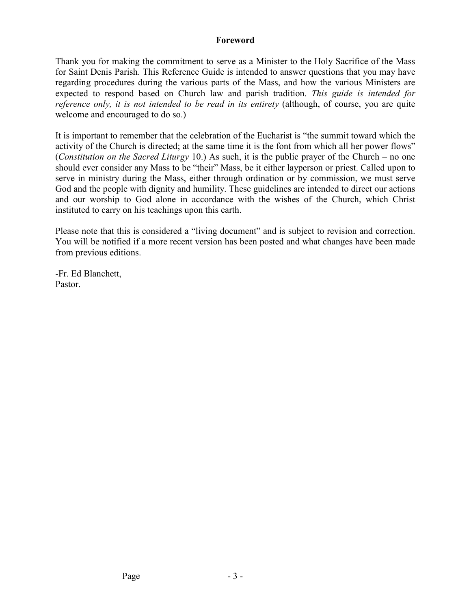#### **Foreword**

Thank you for making the commitment to serve as a Minister to the Holy Sacrifice of the Mass for Saint Denis Parish. This Reference Guide is intended to answer questions that you may have regarding procedures during the various parts of the Mass, and how the various Ministers are expected to respond based on Church law and parish tradition. *This guide is intended for reference only, it is not intended to be read in its entirety* (although, of course, you are quite welcome and encouraged to do so.)

It is important to remember that the celebration of the Eucharist is "the summit toward which the activity of the Church is directed; at the same time it is the font from which all her power flows" (*Constitution on the Sacred Liturgy* 10.) As such, it is the public prayer of the Church – no one should ever consider any Mass to be "their" Mass, be it either layperson or priest. Called upon to serve in ministry during the Mass, either through ordination or by commission, we must serve God and the people with dignity and humility. These guidelines are intended to direct our actions and our worship to God alone in accordance with the wishes of the Church, which Christ instituted to carry on his teachings upon this earth.

Please note that this is considered a "living document" and is subject to revision and correction. You will be notified if a more recent version has been posted and what changes have been made from previous editions.

-Fr. Ed Blanchett, Pastor.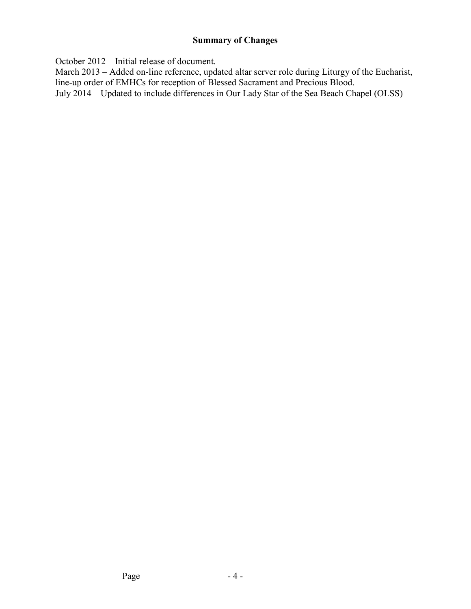# **Summary of Changes**

October 2012 – Initial release of document.

March 2013 – Added on-line reference, updated altar server role during Liturgy of the Eucharist, line-up order of EMHCs for reception of Blessed Sacrament and Precious Blood.

July 2014 – Updated to include differences in Our Lady Star of the Sea Beach Chapel (OLSS)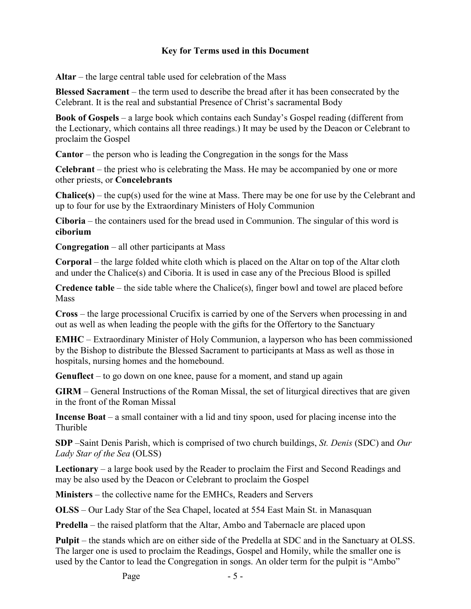#### **Key for Terms used in this Document**

**Altar** – the large central table used for celebration of the Mass

**Blessed Sacrament** – the term used to describe the bread after it has been consecrated by the Celebrant. It is the real and substantial Presence of Christ's sacramental Body

**Book of Gospels** – a large book which contains each Sunday's Gospel reading (different from the Lectionary, which contains all three readings.) It may be used by the Deacon or Celebrant to proclaim the Gospel

**Cantor** – the person who is leading the Congregation in the songs for the Mass

**Celebrant** – the priest who is celebrating the Mass. He may be accompanied by one or more other priests, or **Concelebrants**

**Chalice(s)** – the cup(s) used for the wine at Mass. There may be one for use by the Celebrant and up to four for use by the Extraordinary Ministers of Holy Communion

**Ciboria** – the containers used for the bread used in Communion. The singular of this word is **ciborium** 

**Congregation** – all other participants at Mass

**Corporal** – the large folded white cloth which is placed on the Altar on top of the Altar cloth and under the Chalice(s) and Ciboria. It is used in case any of the Precious Blood is spilled

**Credence table** – the side table where the Chalice(s), finger bowl and towel are placed before **Mass** 

**Cross** – the large processional Crucifix is carried by one of the Servers when processing in and out as well as when leading the people with the gifts for the Offertory to the Sanctuary

**EMHC** – Extraordinary Minister of Holy Communion, a layperson who has been commissioned by the Bishop to distribute the Blessed Sacrament to participants at Mass as well as those in hospitals, nursing homes and the homebound.

**Genuflect** – to go down on one knee, pause for a moment, and stand up again

**GIRM** – General Instructions of the Roman Missal, the set of liturgical directives that are given in the front of the Roman Missal

**Incense Boat** – a small container with a lid and tiny spoon, used for placing incense into the Thurible

**SDP** –Saint Denis Parish, which is comprised of two church buildings, *St. Denis* (SDC) and *Our Lady Star of the Sea* (OLSS)

**Lectionary** – a large book used by the Reader to proclaim the First and Second Readings and may be also used by the Deacon or Celebrant to proclaim the Gospel

**Ministers** – the collective name for the EMHCs, Readers and Servers

**OLSS** – Our Lady Star of the Sea Chapel, located at 554 East Main St. in Manasquan

**Predella** – the raised platform that the Altar, Ambo and Tabernacle are placed upon

**Pulpit** – the stands which are on either side of the Predella at SDC and in the Sanctuary at OLSS. The larger one is used to proclaim the Readings, Gospel and Homily, while the smaller one is used by the Cantor to lead the Congregation in songs. An older term for the pulpit is "Ambo"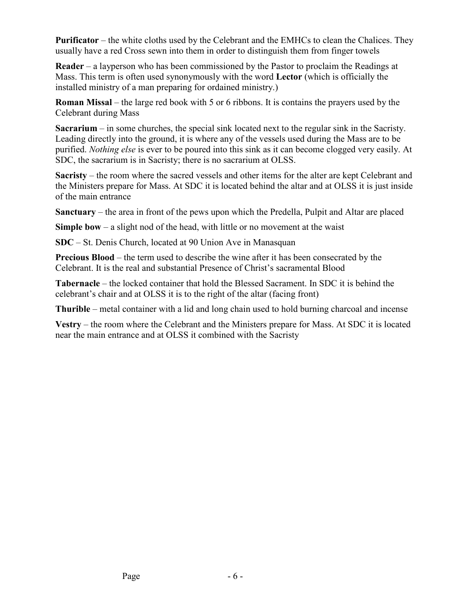**Purificator** – the white cloths used by the Celebrant and the EMHCs to clean the Chalices. They usually have a red Cross sewn into them in order to distinguish them from finger towels

**Reader** – a layperson who has been commissioned by the Pastor to proclaim the Readings at Mass. This term is often used synonymously with the word **Lector** (which is officially the installed ministry of a man preparing for ordained ministry.)

**Roman Missal** – the large red book with 5 or 6 ribbons. It is contains the prayers used by the Celebrant during Mass

**Sacrarium** – in some churches, the special sink located next to the regular sink in the Sacristy. Leading directly into the ground, it is where any of the vessels used during the Mass are to be purified. *Nothing else* is ever to be poured into this sink as it can become clogged very easily. At SDC, the sacrarium is in Sacristy; there is no sacrarium at OLSS.

**Sacristy** – the room where the sacred vessels and other items for the alter are kept Celebrant and the Ministers prepare for Mass. At SDC it is located behind the altar and at OLSS it is just inside of the main entrance

**Sanctuary** – the area in front of the pews upon which the Predella, Pulpit and Altar are placed

**Simple bow** – a slight nod of the head, with little or no movement at the waist

**SDC** – St. Denis Church, located at 90 Union Ave in Manasquan

**Precious Blood** – the term used to describe the wine after it has been consecrated by the Celebrant. It is the real and substantial Presence of Christ's sacramental Blood

**Tabernacle** – the locked container that hold the Blessed Sacrament. In SDC it is behind the celebrant's chair and at OLSS it is to the right of the altar (facing front)

**Thurible** – metal container with a lid and long chain used to hold burning charcoal and incense

**Vestry** – the room where the Celebrant and the Ministers prepare for Mass. At SDC it is located near the main entrance and at OLSS it combined with the Sacristy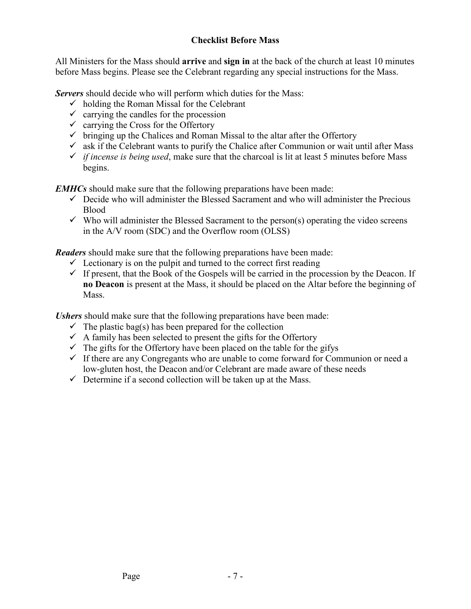# **Checklist Before Mass**

All Ministers for the Mass should **arrive** and **sign in** at the back of the church at least 10 minutes before Mass begins. Please see the Celebrant regarding any special instructions for the Mass.

*Servers* should decide who will perform which duties for the Mass:

- $\checkmark$  holding the Roman Missal for the Celebrant
- $\checkmark$  carrying the candles for the procession
- $\checkmark$  carrying the Cross for the Offertory
- $\checkmark$  bringing up the Chalices and Roman Missal to the altar after the Offertory
- $\checkmark$  ask if the Celebrant wants to purify the Chalice after Communion or wait until after Mass
- $\checkmark$  *if incense is being used*, make sure that the charcoal is lit at least 5 minutes before Mass begins.

*EMHCs* should make sure that the following preparations have been made:

- $\checkmark$  Decide who will administer the Blessed Sacrament and who will administer the Precious Blood
- $\checkmark$  Who will administer the Blessed Sacrament to the person(s) operating the video screens in the A/V room (SDC) and the Overflow room (OLSS)

*Readers* should make sure that the following preparations have been made:

- $\checkmark$  Lectionary is on the pulpit and turned to the correct first reading
- $\checkmark$  If present, that the Book of the Gospels will be carried in the procession by the Deacon. If **no Deacon** is present at the Mass, it should be placed on the Altar before the beginning of **Mass**

*Ushers* should make sure that the following preparations have been made:

- $\checkmark$  The plastic bag(s) has been prepared for the collection
- $\checkmark$  A family has been selected to present the gifts for the Offertory
- $\checkmark$  The gifts for the Offertory have been placed on the table for the gifys
- $\checkmark$  If there are any Congregants who are unable to come forward for Communion or need a low-gluten host, the Deacon and/or Celebrant are made aware of these needs
- $\checkmark$  Determine if a second collection will be taken up at the Mass.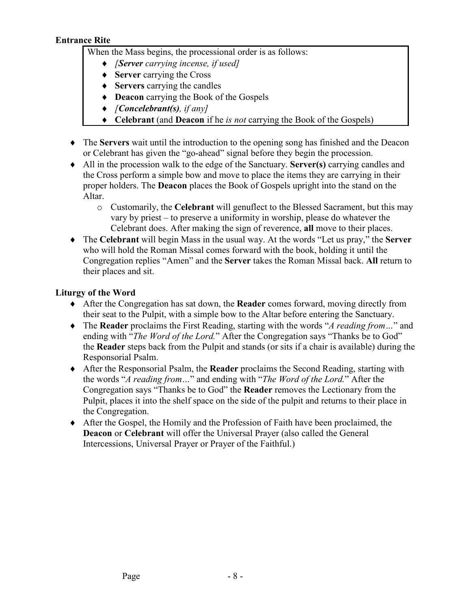#### **Entrance Rite**

When the Mass begins, the processional order is as follows:

- ♦ *[Server carrying incense, if used]*
- ♦ **Server** carrying the Cross
- ♦ **Servers** carrying the candles
- ♦ **Deacon** carrying the Book of the Gospels
- ♦ *[Concelebrant(s), if any]*
- ♦ **Celebrant** (and **Deacon** if he *is not* carrying the Book of the Gospels)
- ♦ The **Servers** wait until the introduction to the opening song has finished and the Deacon or Celebrant has given the "go-ahead" signal before they begin the procession.
- ♦ All in the procession walk to the edge of the Sanctuary. **Server(s)** carrying candles and the Cross perform a simple bow and move to place the items they are carrying in their proper holders. The **Deacon** places the Book of Gospels upright into the stand on the Altar.
	- o Customarily, the **Celebrant** will genuflect to the Blessed Sacrament, but this may vary by priest – to preserve a uniformity in worship, please do whatever the Celebrant does. After making the sign of reverence, **all** move to their places.
- ♦ The **Celebrant** will begin Mass in the usual way. At the words "Let us pray," the **Server** who will hold the Roman Missal comes forward with the book, holding it until the Congregation replies "Amen" and the **Server** takes the Roman Missal back. **All** return to their places and sit.

# **Liturgy of the Word**

- ♦ After the Congregation has sat down, the **Reader** comes forward, moving directly from their seat to the Pulpit, with a simple bow to the Altar before entering the Sanctuary.
- ♦ The **Reader** proclaims the First Reading, starting with the words "*A reading from…*" and ending with "*The Word of the Lord.*" After the Congregation says "Thanks be to God" the **Reader** steps back from the Pulpit and stands (or sits if a chair is available) during the Responsorial Psalm.
- ♦ After the Responsorial Psalm, the **Reader** proclaims the Second Reading, starting with the words "*A reading from…*" and ending with "*The Word of the Lord.*" After the Congregation says "Thanks be to God" the **Reader** removes the Lectionary from the Pulpit, places it into the shelf space on the side of the pulpit and returns to their place in the Congregation.
- ♦ After the Gospel, the Homily and the Profession of Faith have been proclaimed, the **Deacon** or **Celebrant** will offer the Universal Prayer (also called the General Intercessions, Universal Prayer or Prayer of the Faithful.)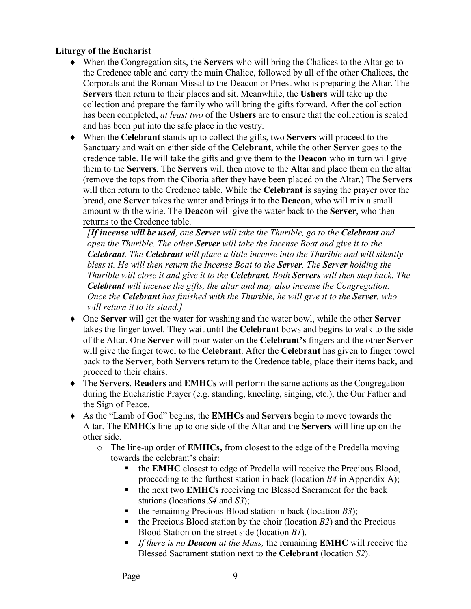#### **Liturgy of the Eucharist**

- ♦ When the Congregation sits, the **Servers** who will bring the Chalices to the Altar go to the Credence table and carry the main Chalice, followed by all of the other Chalices, the Corporals and the Roman Missal to the Deacon or Priest who is preparing the Altar. The **Servers** then return to their places and sit. Meanwhile, the **Ushers** will take up the collection and prepare the family who will bring the gifts forward. After the collection has been completed, *at least two* of the **Ushers** are to ensure that the collection is sealed and has been put into the safe place in the vestry.
- ♦ When the **Celebrant** stands up to collect the gifts, two **Servers** will proceed to the Sanctuary and wait on either side of the **Celebrant**, while the other **Server** goes to the credence table. He will take the gifts and give them to the **Deacon** who in turn will give them to the **Servers**. The **Servers** will then move to the Altar and place them on the altar (remove the tops from the Ciboria after they have been placed on the Altar.) The **Servers** will then return to the Credence table. While the **Celebrant** is saying the prayer over the bread, one **Server** takes the water and brings it to the **Deacon**, who will mix a small amount with the wine. The **Deacon** will give the water back to the **Server**, who then returns to the Credence table.

*[If incense will be used, one Server will take the Thurible, go to the Celebrant and open the Thurible. The other Server will take the Incense Boat and give it to the Celebrant. The Celebrant will place a little incense into the Thurible and will silently bless it. He will then return the Incense Boat to the Server. The Server holding the Thurible will close it and give it to the Celebrant. Both Servers will then step back. The Celebrant will incense the gifts, the altar and may also incense the Congregation. Once the Celebrant has finished with the Thurible, he will give it to the Server, who will return it to its stand.]*

- ♦ One **Server** will get the water for washing and the water bowl, while the other **Server**  takes the finger towel. They wait until the **Celebrant** bows and begins to walk to the side of the Altar. One **Server** will pour water on the **Celebrant's** fingers and the other **Server** will give the finger towel to the **Celebrant**. After the **Celebrant** has given to finger towel back to the **Server**, both **Servers** return to the Credence table, place their items back, and proceed to their chairs.
- ♦ The **Servers**, **Readers** and **EMHCs** will perform the same actions as the Congregation during the Eucharistic Prayer (e.g. standing, kneeling, singing, etc.), the Our Father and the Sign of Peace.
- ♦ As the "Lamb of God" begins, the **EMHCs** and **Servers** begin to move towards the Altar. The **EMHCs** line up to one side of the Altar and the **Servers** will line up on the other side.
	- o The line-up order of **EMHCs,** from closest to the edge of the Predella moving towards the celebrant's chair:
		- the **EMHC** closest to edge of Predella will receive the Precious Blood, proceeding to the furthest station in back (location *B4* in Appendix A);
		- the next two **EMHCs** receiving the Blessed Sacrament for the back stations (locations *S4* and *S3*);
		- the remaining Precious Blood station in back (location *B3*);
		- the Precious Blood station by the choir (location *B2*) and the Precious Blood Station on the street side (location *B1*).
		- - *If there is no Deacon at the Mass,* the remaining **EMHC** will receive the Blessed Sacrament station next to the **Celebrant** (location *S2*).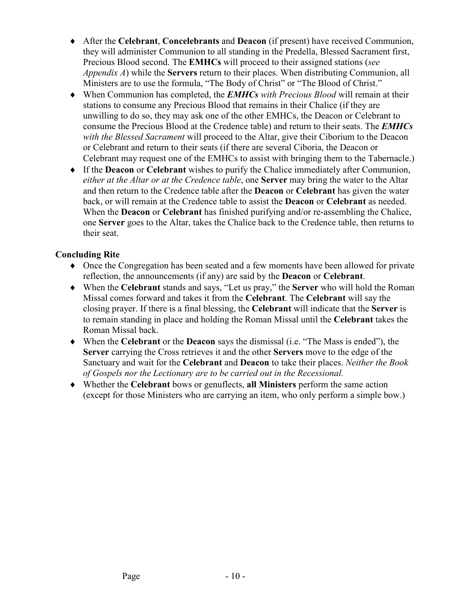- ♦ After the **Celebrant**, **Concelebrants** and **Deacon** (if present) have received Communion, they will administer Communion to all standing in the Predella, Blessed Sacrament first, Precious Blood second. The **EMHCs** will proceed to their assigned stations (*see Appendix A*) while the **Servers** return to their places. When distributing Communion, all Ministers are to use the formula, "The Body of Christ" or "The Blood of Christ."
- ♦ When Communion has completed, the *EMHCs with Precious Blood* will remain at their stations to consume any Precious Blood that remains in their Chalice (if they are unwilling to do so, they may ask one of the other EMHCs, the Deacon or Celebrant to consume the Precious Blood at the Credence table) and return to their seats. The *EMHCs with the Blessed Sacrament* will proceed to the Altar, give their Ciborium to the Deacon or Celebrant and return to their seats (if there are several Ciboria, the Deacon or Celebrant may request one of the EMHCs to assist with bringing them to the Tabernacle.)
- ♦ If the **Deacon** or **Celebrant** wishes to purify the Chalice immediately after Communion, *either at the Altar or at the Credence table*, one **Server** may bring the water to the Altar and then return to the Credence table after the **Deacon** or **Celebrant** has given the water back, or will remain at the Credence table to assist the **Deacon** or **Celebrant** as needed. When the **Deacon** or **Celebrant** has finished purifying and/or re-assembling the Chalice, one **Server** goes to the Altar, takes the Chalice back to the Credence table, then returns to their seat.

#### **Concluding Rite**

- ♦ Once the Congregation has been seated and a few moments have been allowed for private reflection, the announcements (if any) are said by the **Deacon** or **Celebrant**.
- ♦ When the **Celebrant** stands and says, "Let us pray," the **Server** who will hold the Roman Missal comes forward and takes it from the **Celebrant**. The **Celebrant** will say the closing prayer. If there is a final blessing, the **Celebrant** will indicate that the **Server** is to remain standing in place and holding the Roman Missal until the **Celebrant** takes the Roman Missal back.
- ♦ When the **Celebrant** or the **Deacon** says the dismissal (i.e. "The Mass is ended"), the **Server** carrying the Cross retrieves it and the other **Servers** move to the edge of the Sanctuary and wait for the **Celebrant** and **Deacon** to take their places. *Neither the Book of Gospels nor the Lectionary are to be carried out in the Recessional.*
- ♦ Whether the **Celebrant** bows or genuflects, **all Ministers** perform the same action (except for those Ministers who are carrying an item, who only perform a simple bow.)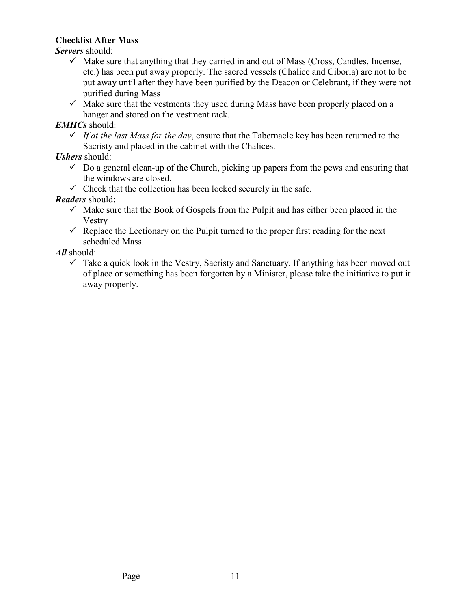#### **Checklist After Mass**

*Servers* should:

- $\checkmark$  Make sure that anything that they carried in and out of Mass (Cross, Candles, Incense, etc.) has been put away properly. The sacred vessels (Chalice and Ciboria) are not to be put away until after they have been purified by the Deacon or Celebrant, if they were not purified during Mass
- $\checkmark$  Make sure that the vestments they used during Mass have been properly placed on a hanger and stored on the vestment rack.

# *EMHCs* should:

 $\checkmark$  If at the last Mass for the day, ensure that the Tabernacle key has been returned to the Sacristy and placed in the cabinet with the Chalices.

*Ushers* should:

- $\checkmark$  Do a general clean-up of the Church, picking up papers from the pews and ensuring that the windows are closed.
- $\checkmark$  Check that the collection has been locked securely in the safe.

*Readers* should:

- $\checkmark$  Make sure that the Book of Gospels from the Pulpit and has either been placed in the Vestry
- $\checkmark$  Replace the Lectionary on the Pulpit turned to the proper first reading for the next scheduled Mass.

*All* should:

 $\checkmark$  Take a quick look in the Vestry, Sacristy and Sanctuary. If anything has been moved out of place or something has been forgotten by a Minister, please take the initiative to put it away properly.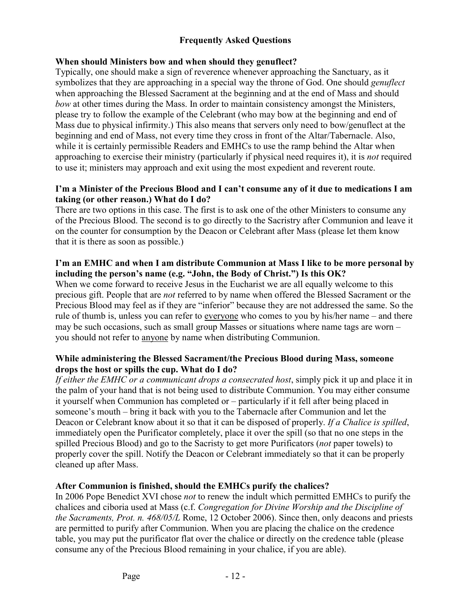### **Frequently Asked Questions**

#### **When should Ministers bow and when should they genuflect?**

Typically, one should make a sign of reverence whenever approaching the Sanctuary, as it symbolizes that they are approaching in a special way the throne of God. One should *genuflect* when approaching the Blessed Sacrament at the beginning and at the end of Mass and should *bow* at other times during the Mass. In order to maintain consistency amongst the Ministers, please try to follow the example of the Celebrant (who may bow at the beginning and end of Mass due to physical infirmity.) This also means that servers only need to bow/genuflect at the beginning and end of Mass, not every time they cross in front of the Altar/Tabernacle. Also, while it is certainly permissible Readers and EMHCs to use the ramp behind the Altar when approaching to exercise their ministry (particularly if physical need requires it), it is *not* required to use it; ministers may approach and exit using the most expedient and reverent route.

#### **I'm a Minister of the Precious Blood and I can't consume any of it due to medications I am taking (or other reason.) What do I do?**

There are two options in this case. The first is to ask one of the other Ministers to consume any of the Precious Blood. The second is to go directly to the Sacristry after Communion and leave it on the counter for consumption by the Deacon or Celebrant after Mass (please let them know that it is there as soon as possible.)

#### **I'm an EMHC and when I am distribute Communion at Mass I like to be more personal by including the person's name (e.g. "John, the Body of Christ.") Is this OK?**

When we come forward to receive Jesus in the Eucharist we are all equally welcome to this precious gift. People that are *not* referred to by name when offered the Blessed Sacrament or the Precious Blood may feel as if they are "inferior" because they are not addressed the same. So the rule of thumb is, unless you can refer to everyone who comes to you by his/her name – and there may be such occasions, such as small group Masses or situations where name tags are worn – you should not refer to anyone by name when distributing Communion.

#### **While administering the Blessed Sacrament/the Precious Blood during Mass, someone drops the host or spills the cup. What do I do?**

*If either the EMHC or a communicant drops a consecrated host*, simply pick it up and place it in the palm of your hand that is not being used to distribute Communion. You may either consume it yourself when Communion has completed or – particularly if it fell after being placed in someone's mouth – bring it back with you to the Tabernacle after Communion and let the Deacon or Celebrant know about it so that it can be disposed of properly. *If a Chalice is spilled*, immediately open the Purificator completely, place it over the spill (so that no one steps in the spilled Precious Blood) and go to the Sacristy to get more Purificators (*not* paper towels) to properly cover the spill. Notify the Deacon or Celebrant immediately so that it can be properly cleaned up after Mass.

#### **After Communion is finished, should the EMHCs purify the chalices?**

In 2006 Pope Benedict XVI chose *not* to renew the indult which permitted EMHCs to purify the chalices and ciboria used at Mass (c.f. *Congregation for Divine Worship and the Discipline of the Sacraments, Prot. n. 468/05/L* Rome, 12 October 2006). Since then, only deacons and priests are permitted to purify after Communion. When you are placing the chalice on the credence table, you may put the purificator flat over the chalice or directly on the credence table (please consume any of the Precious Blood remaining in your chalice, if you are able).